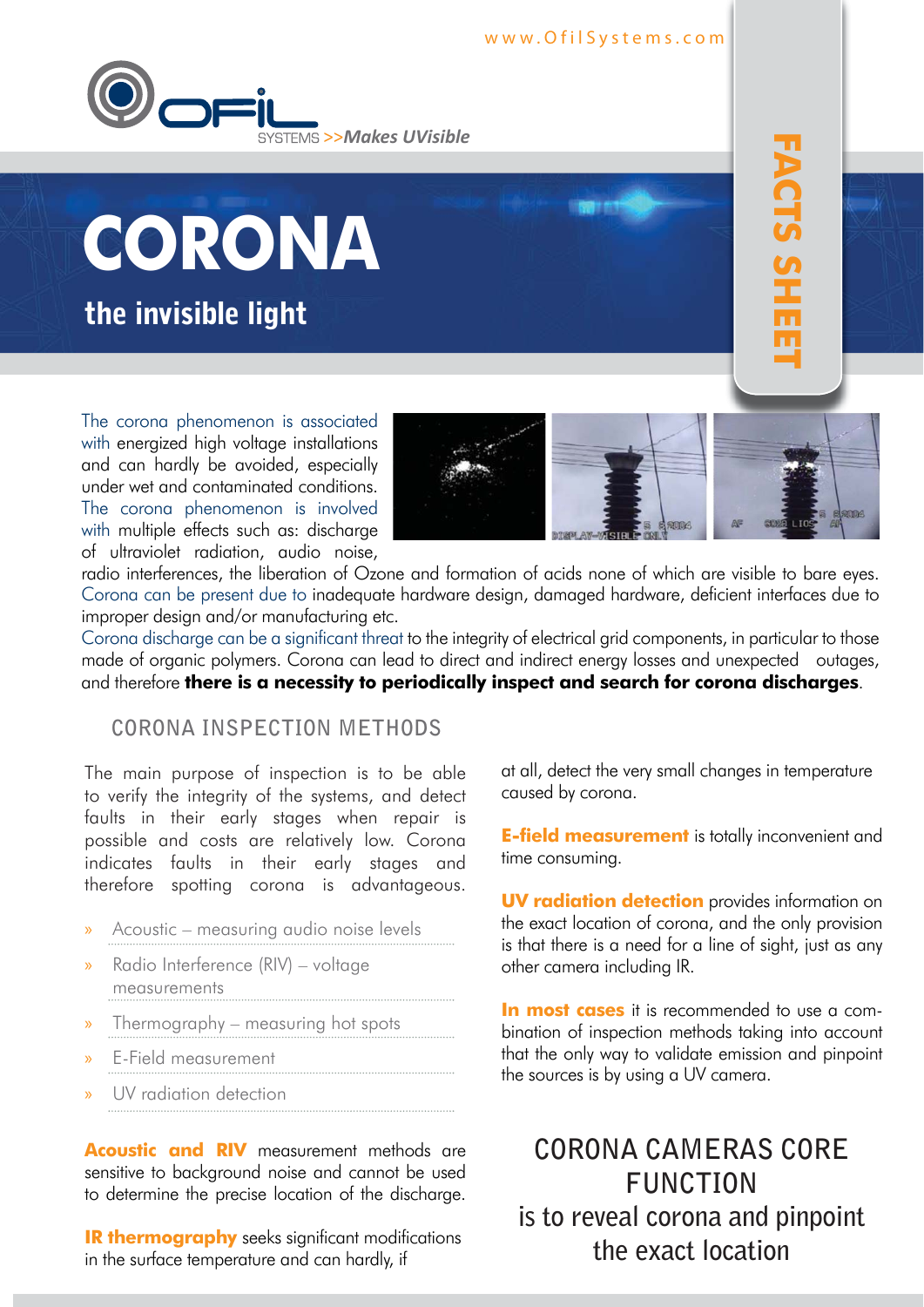#### www.OfilSystems.com





The corona phenomenon is associated with energized high voltage installations and can hardly be avoided, especially under wet and contaminated conditions. The corona phenomenon is involved with multiple effects such as: discharge of ultraviolet radiation, audio noise,



**FACTS SHEET** 

**FACTS SHE s FACTS SHEET**

radio interferences, the liberation of Ozone and formation of acids none of which are visible to bare eyes. Corona can be present due to inadequate hardware design, damaged hardware, deficient interfaces due to improper design and/or manufacturing etc.

Corona discharge can be a significant threat to the integrity of electrical grid components, in particular to those made of organic polymers. Corona can lead to direct and indirect energy losses and unexpected outages, and therefore **there is a necessity to periodically inspect and search for corona discharges**.

### **CORONA INSPECTION METHODS**

The main purpose of inspection is to be able to verify the integrity of the systems, and detect faults in their early stages when repair is possible and costs are relatively low. Corona indicates faults in their early stages and therefore spotting corona is advantageous.

- » Acoustic measuring audio noise levels
- » Radio Interference (RIV) voltage measurements
- » Thermography measuring hot spots
- » E-Field measurement
- UV radiation detection

**Acoustic and RIV** measurement methods are sensitive to background noise and cannot be used to determine the precise location of the discharge.

**IR thermography** seeks significant modifications in the surface temperature and can hardly, if

at all, detect the very small changes in temperature caused by corona.

**E-field measurement** is totally inconvenient and time consuming.

**UV radiation detection** provides information on the exact location of corona, and the only provision is that there is a need for a line of sight, just as any other camera including IR.

**In most cases** it is recommended to use a combination of inspection methods taking into account that the only way to validate emission and pinpoint the sources is by using a UV camera.

**CORONA CAMERAS CORE FUNCTION is to reveal corona and pinpoint the exact location**